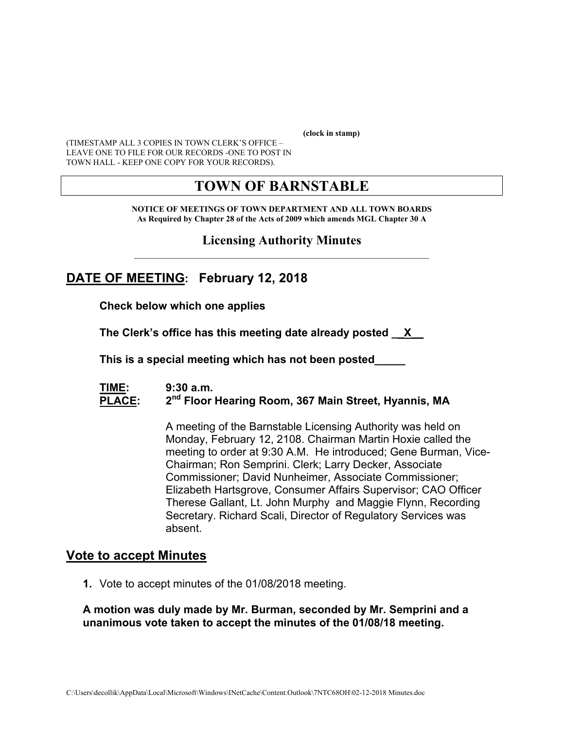**(clock in stamp)** 

(TIMESTAMP ALL 3 COPIES IN TOWN CLERK'S OFFICE – LEAVE ONE TO FILE FOR OUR RECORDS -ONE TO POST IN TOWN HALL - KEEP ONE COPY FOR YOUR RECORDS).

# **TOWN OF BARNSTABLE**

**NOTICE OF MEETINGS OF TOWN DEPARTMENT AND ALL TOWN BOARDS As Required by Chapter 28 of the Acts of 2009 which amends MGL Chapter 30 A** 

**Licensing Authority Minutes**  $\mathcal{L}_\text{max}$  and the contract of the contract of the contract of the contract of the contract of the contract of the contract of the contract of the contract of the contract of the contract of the contract of the contrac

## **DATE OF MEETING: February 12, 2018**

**Check below which one applies** 

**The Clerk's office has this meeting date already posted \_\_X\_\_** 

 **This is a special meeting which has not been posted\_\_\_\_\_** 

#### **TIME: 9:30 a.m.**  PLACE: 2<sup>nd</sup> Floor Hearing Room, 367 Main Street, Hyannis, MA

A meeting of the Barnstable Licensing Authority was held on Monday, February 12, 2108. Chairman Martin Hoxie called the meeting to order at 9:30 A.M. He introduced; Gene Burman, Vice-Chairman; Ron Semprini. Clerk; Larry Decker, Associate Commissioner; David Nunheimer, Associate Commissioner; Elizabeth Hartsgrove, Consumer Affairs Supervisor; CAO Officer Therese Gallant, Lt. John Murphy and Maggie Flynn, Recording Secretary. Richard Scali, Director of Regulatory Services was absent.

## **Vote to accept Minutes**

**1.** Vote to accept minutes of the 01/08/2018 meeting.

#### **A motion was duly made by Mr. Burman, seconded by Mr. Semprini and a unanimous vote taken to accept the minutes of the 01/08/18 meeting.**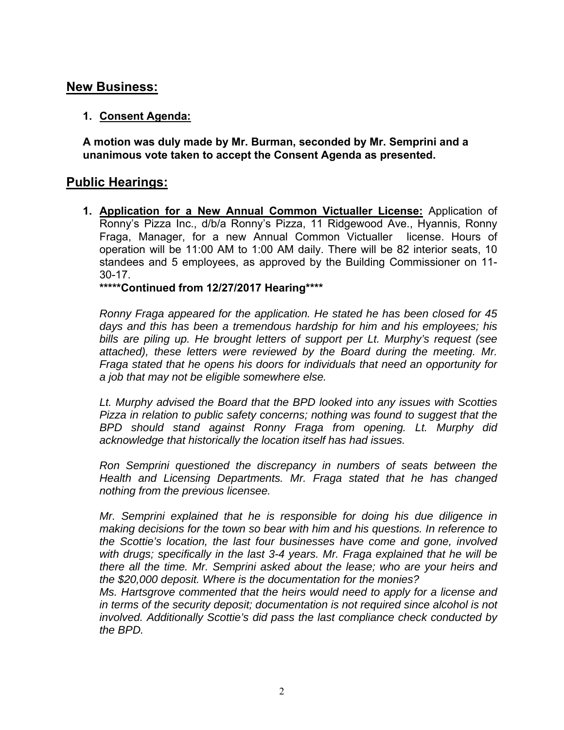## **New Business:**

## **1. Consent Agenda:**

**A motion was duly made by Mr. Burman, seconded by Mr. Semprini and a unanimous vote taken to accept the Consent Agenda as presented.**

## **Public Hearings:**

**1. Application for a New Annual Common Victualler License:** Application of Ronny's Pizza Inc., d/b/a Ronny's Pizza, 11 Ridgewood Ave., Hyannis, Ronny Fraga, Manager, for a new Annual Common Victualler license. Hours of operation will be 11:00 AM to 1:00 AM daily. There will be 82 interior seats, 10 standees and 5 employees, as approved by the Building Commissioner on 11- 30-17.

#### **\*\*\*\*\*Continued from 12/27/2017 Hearing\*\*\*\***

*Ronny Fraga appeared for the application. He stated he has been closed for 45 days and this has been a tremendous hardship for him and his employees; his bills are piling up. He brought letters of support per Lt. Murphy's request (see attached), these letters were reviewed by the Board during the meeting. Mr. Fraga stated that he opens his doors for individuals that need an opportunity for a job that may not be eligible somewhere else.* 

*Lt. Murphy advised the Board that the BPD looked into any issues with Scotties Pizza in relation to public safety concerns; nothing was found to suggest that the BPD should stand against Ronny Fraga from opening. Lt. Murphy did acknowledge that historically the location itself has had issues.* 

*Ron Semprini questioned the discrepancy in numbers of seats between the Health and Licensing Departments. Mr. Fraga stated that he has changed nothing from the previous licensee.* 

*Mr. Semprini explained that he is responsible for doing his due diligence in making decisions for the town so bear with him and his questions. In reference to the Scottie's location, the last four businesses have come and gone, involved with drugs; specifically in the last 3-4 years. Mr. Fraga explained that he will be there all the time. Mr. Semprini asked about the lease; who are your heirs and the \$20,000 deposit. Where is the documentation for the monies?* 

*Ms. Hartsgrove commented that the heirs would need to apply for a license and in terms of the security deposit; documentation is not required since alcohol is not involved. Additionally Scottie's did pass the last compliance check conducted by the BPD.*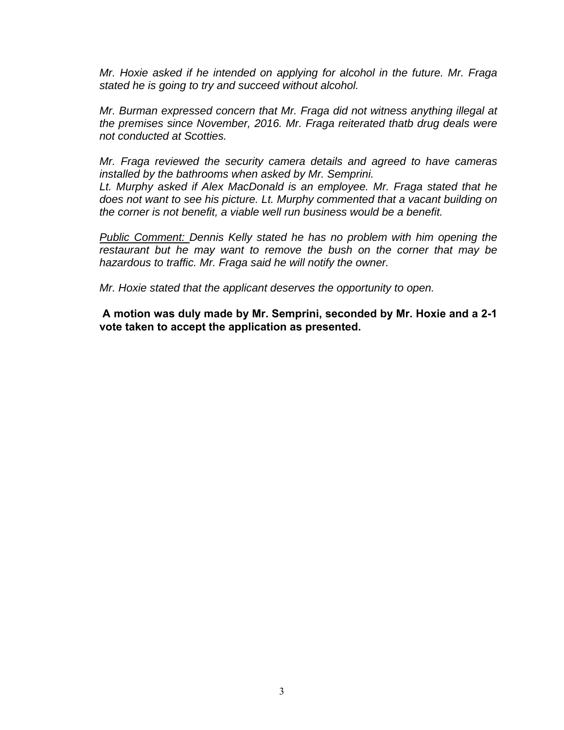*Mr. Hoxie asked if he intended on applying for alcohol in the future. Mr. Fraga stated he is going to try and succeed without alcohol.* 

*Mr. Burman expressed concern that Mr. Fraga did not witness anything illegal at the premises since November, 2016. Mr. Fraga reiterated thatb drug deals were not conducted at Scotties.* 

*Mr. Fraga reviewed the security camera details and agreed to have cameras installed by the bathrooms when asked by Mr. Semprini.* 

*Lt. Murphy asked if Alex MacDonald is an employee. Mr. Fraga stated that he does not want to see his picture. Lt. Murphy commented that a vacant building on the corner is not benefit, a viable well run business would be a benefit.* 

*Public Comment: Dennis Kelly stated he has no problem with him opening the restaurant but he may want to remove the bush on the corner that may be hazardous to traffic. Mr. Fraga said he will notify the owner.* 

*Mr. Hoxie stated that the applicant deserves the opportunity to open.* 

**A motion was duly made by Mr. Semprini, seconded by Mr. Hoxie and a 2-1 vote taken to accept the application as presented.**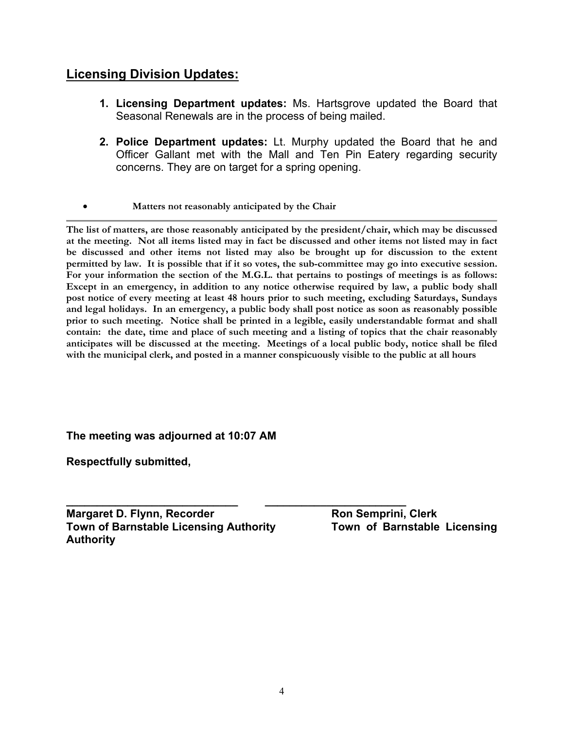## **Licensing Division Updates:**

- **1. Licensing Department updates:** Ms. Hartsgrove updated the Board that Seasonal Renewals are in the process of being mailed.
- **2. Police Department updates:** Lt. Murphy updated the Board that he and Officer Gallant met with the Mall and Ten Pin Eatery regarding security concerns. They are on target for a spring opening.
- **Matters not reasonably anticipated by the Chair**

**The list of matters, are those reasonably anticipated by the president/chair, which may be discussed at the meeting. Not all items listed may in fact be discussed and other items not listed may in fact be discussed and other items not listed may also be brought up for discussion to the extent permitted by law. It is possible that if it so votes, the sub-committee may go into executive session. For your information the section of the M.G.L. that pertains to postings of meetings is as follows: Except in an emergency, in addition to any notice otherwise required by law, a public body shall post notice of every meeting at least 48 hours prior to such meeting, excluding Saturdays, Sundays and legal holidays. In an emergency, a public body shall post notice as soon as reasonably possible prior to such meeting. Notice shall be printed in a legible, easily understandable format and shall contain: the date, time and place of such meeting and a listing of topics that the chair reasonably anticipates will be discussed at the meeting. Meetings of a local public body, notice shall be filed with the municipal clerk, and posted in a manner conspicuously visible to the public at all hours** 

#### **The meeting was adjourned at 10:07 AM**

**Respectfully submitted,** 

**\_\_\_\_\_\_\_\_\_\_\_\_\_\_\_\_\_\_\_\_\_\_\_\_\_\_\_\_ \_\_\_\_\_\_\_\_\_\_\_\_\_\_\_\_\_\_\_\_\_\_\_ Margaret D. Flynn, Recorder Margaret D. Flynn, Recorder Array Ron Semprini, Clerk Town of Barnstable Licensing Authority Town of Barnstable Licensing Authority**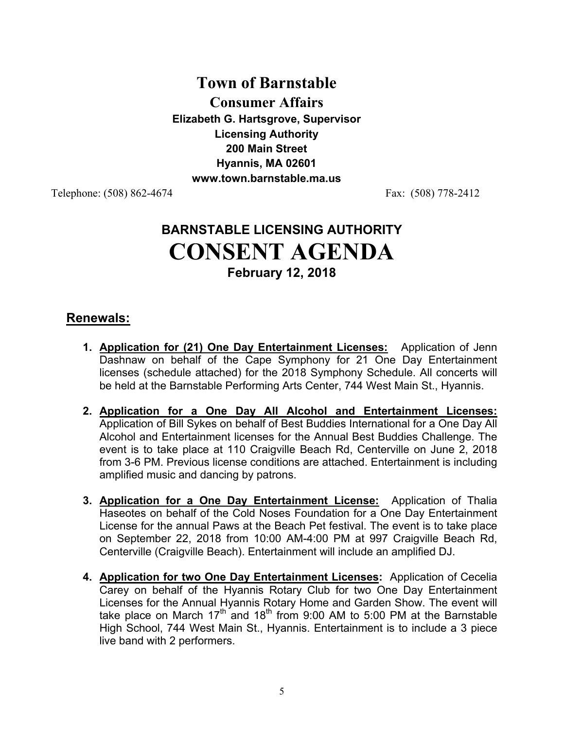# **Town of Barnstable Consumer Affairs Elizabeth G. Hartsgrove, Supervisor Licensing Authority 200 Main Street Hyannis, MA 02601 www.town.barnstable.ma.us**

Telephone: (508) 862-4674 Fax: (508) 778-2412

# **BARNSTABLE LICENSING AUTHORITY CONSENT AGENDA February 12, 2018**

## **Renewals:**

- **1. Application for (21) One Day Entertainment Licenses:** Application of Jenn Dashnaw on behalf of the Cape Symphony for 21 One Day Entertainment licenses (schedule attached) for the 2018 Symphony Schedule. All concerts will be held at the Barnstable Performing Arts Center, 744 West Main St., Hyannis.
- **2. Application for a One Day All Alcohol and Entertainment Licenses:** Application of Bill Sykes on behalf of Best Buddies International for a One Day All Alcohol and Entertainment licenses for the Annual Best Buddies Challenge. The event is to take place at 110 Craigville Beach Rd, Centerville on June 2, 2018 from 3-6 PM. Previous license conditions are attached. Entertainment is including amplified music and dancing by patrons.
- **3. Application for a One Day Entertainment License:** Application of Thalia Haseotes on behalf of the Cold Noses Foundation for a One Day Entertainment License for the annual Paws at the Beach Pet festival. The event is to take place on September 22, 2018 from 10:00 AM-4:00 PM at 997 Craigville Beach Rd, Centerville (Craigville Beach). Entertainment will include an amplified DJ.
- **4. Application for two One Day Entertainment Licenses:** Application of Cecelia Carey on behalf of the Hyannis Rotary Club for two One Day Entertainment Licenses for the Annual Hyannis Rotary Home and Garden Show. The event will take place on March  $17<sup>th</sup>$  and  $18<sup>th</sup>$  from 9:00 AM to 5:00 PM at the Barnstable High School, 744 West Main St., Hyannis. Entertainment is to include a 3 piece live band with 2 performers.